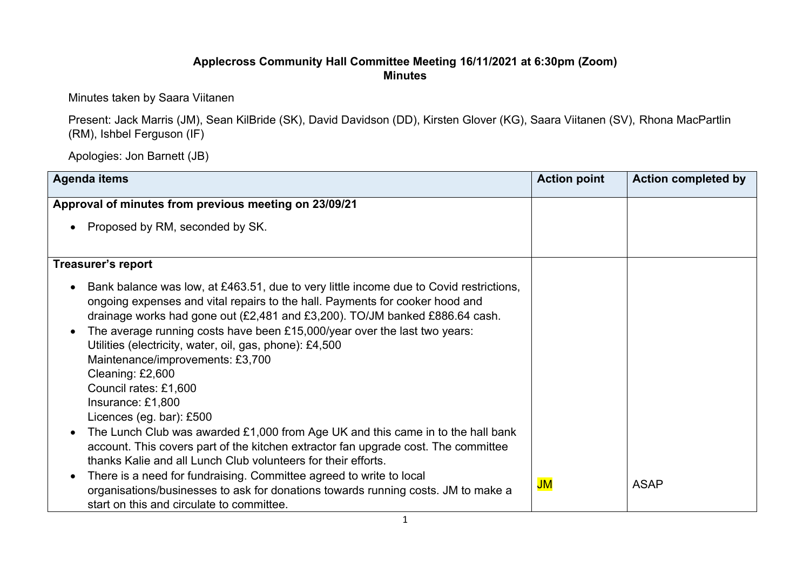## **Applecross Community Hall Committee Meeting 16/11/2021 at 6:30pm (Zoom) Minutes**

Minutes taken by Saara Viitanen

Present: Jack Marris (JM), Sean KilBride (SK), David Davidson (DD), Kirsten Glover (KG), Saara Viitanen (SV), Rhona MacPartlin (RM), Ishbel Ferguson (IF)

Apologies: Jon Barnett (JB)

| <b>Agenda items</b>                                                                                                                                                                                                                                                                                                                                                                                                                                                                                                             | <b>Action point</b> | <b>Action completed by</b> |
|---------------------------------------------------------------------------------------------------------------------------------------------------------------------------------------------------------------------------------------------------------------------------------------------------------------------------------------------------------------------------------------------------------------------------------------------------------------------------------------------------------------------------------|---------------------|----------------------------|
| Approval of minutes from previous meeting on 23/09/21                                                                                                                                                                                                                                                                                                                                                                                                                                                                           |                     |                            |
| Proposed by RM, seconded by SK.                                                                                                                                                                                                                                                                                                                                                                                                                                                                                                 |                     |                            |
| <b>Treasurer's report</b>                                                                                                                                                                                                                                                                                                                                                                                                                                                                                                       |                     |                            |
| Bank balance was low, at £463.51, due to very little income due to Covid restrictions,<br>ongoing expenses and vital repairs to the hall. Payments for cooker hood and<br>drainage works had gone out (£2,481 and £3,200). TO/JM banked £886.64 cash.<br>The average running costs have been £15,000/year over the last two years:<br>Utilities (electricity, water, oil, gas, phone): £4,500<br>Maintenance/improvements: £3,700<br>Cleaning: £2,600<br>Council rates: £1,600<br>Insurance: £1,800<br>Licences (eg. bar): £500 |                     |                            |
| The Lunch Club was awarded £1,000 from Age UK and this came in to the hall bank<br>$\bullet$<br>account. This covers part of the kitchen extractor fan upgrade cost. The committee<br>thanks Kalie and all Lunch Club volunteers for their efforts.                                                                                                                                                                                                                                                                             |                     |                            |
| There is a need for fundraising. Committee agreed to write to local<br>$\bullet$<br>organisations/businesses to ask for donations towards running costs. JM to make a<br>start on this and circulate to committee.                                                                                                                                                                                                                                                                                                              | JM                  | <b>ASAP</b>                |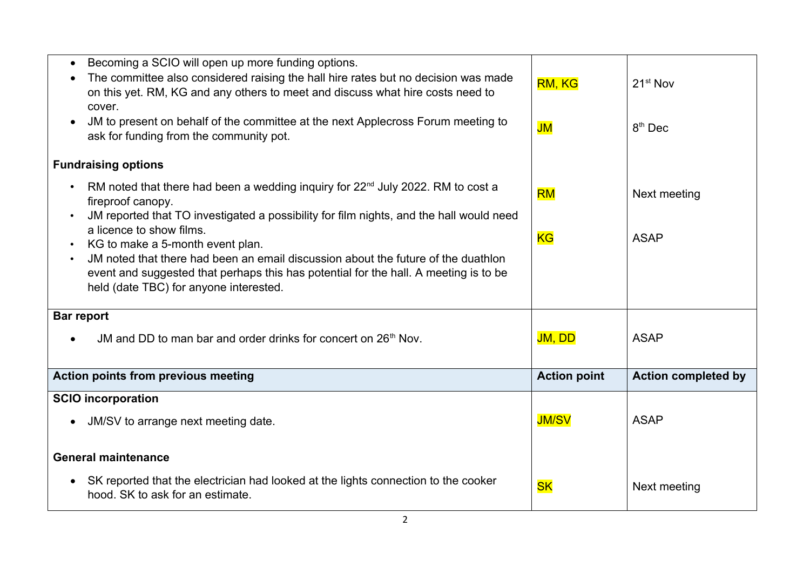| Becoming a SCIO will open up more funding options.<br>The committee also considered raising the hall hire rates but no decision was made<br>on this yet. RM, KG and any others to meet and discuss what hire costs need to<br>cover.<br>JM to present on behalf of the committee at the next Applecross Forum meeting to<br>ask for funding from the community pot.            | RM, KG<br>JM        | $21st$ Nov<br>$8th$ Dec    |
|--------------------------------------------------------------------------------------------------------------------------------------------------------------------------------------------------------------------------------------------------------------------------------------------------------------------------------------------------------------------------------|---------------------|----------------------------|
| <b>Fundraising options</b>                                                                                                                                                                                                                                                                                                                                                     |                     |                            |
| RM noted that there had been a wedding inquiry for 22 <sup>nd</sup> July 2022. RM to cost a<br>fireproof canopy.                                                                                                                                                                                                                                                               | <b>RM</b>           | Next meeting               |
| JM reported that TO investigated a possibility for film nights, and the hall would need<br>a licence to show films.<br>KG to make a 5-month event plan.<br>JM noted that there had been an email discussion about the future of the duathlon<br>event and suggested that perhaps this has potential for the hall. A meeting is to be<br>held (date TBC) for anyone interested. | <b>KG</b>           | <b>ASAP</b>                |
| <b>Bar report</b>                                                                                                                                                                                                                                                                                                                                                              |                     |                            |
| JM and DD to man bar and order drinks for concert on 26 <sup>th</sup> Nov.                                                                                                                                                                                                                                                                                                     | JM, DD              | <b>ASAP</b>                |
| Action points from previous meeting                                                                                                                                                                                                                                                                                                                                            | <b>Action point</b> | <b>Action completed by</b> |
| <b>SCIO incorporation</b>                                                                                                                                                                                                                                                                                                                                                      |                     |                            |
| JM/SV to arrange next meeting date.                                                                                                                                                                                                                                                                                                                                            | <b>JM/SV</b>        | <b>ASAP</b>                |
| <b>General maintenance</b>                                                                                                                                                                                                                                                                                                                                                     |                     |                            |
| SK reported that the electrician had looked at the lights connection to the cooker<br>hood. SK to ask for an estimate.                                                                                                                                                                                                                                                         | <b>SK</b>           | Next meeting               |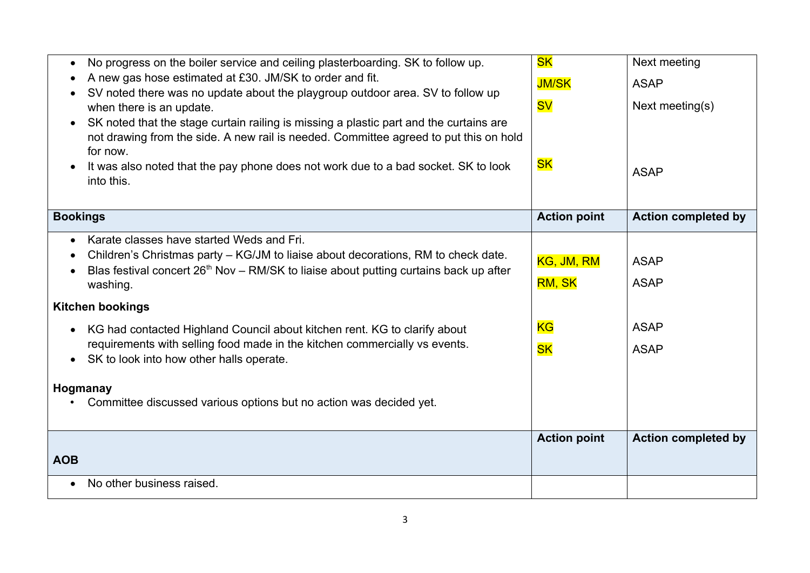| No progress on the boiler service and ceiling plasterboarding. SK to follow up.<br>$\bullet$<br>A new gas hose estimated at £30. JM/SK to order and fit.<br>SV noted there was no update about the playgroup outdoor area. SV to follow up<br>$\bullet$<br>when there is an update.<br>SK noted that the stage curtain railing is missing a plastic part and the curtains are<br>$\bullet$<br>not drawing from the side. A new rail is needed. Committee agreed to put this on hold<br>for now.<br>It was also noted that the pay phone does not work due to a bad socket. SK to look<br>into this. | <b>SK</b><br><b>JM/SK</b><br><b>SV</b><br><b>SK</b>   | Next meeting<br><b>ASAP</b><br>Next meeting $(s)$<br><b>ASAP</b> |
|-----------------------------------------------------------------------------------------------------------------------------------------------------------------------------------------------------------------------------------------------------------------------------------------------------------------------------------------------------------------------------------------------------------------------------------------------------------------------------------------------------------------------------------------------------------------------------------------------------|-------------------------------------------------------|------------------------------------------------------------------|
| <b>Bookings</b>                                                                                                                                                                                                                                                                                                                                                                                                                                                                                                                                                                                     | <b>Action point</b>                                   | <b>Action completed by</b>                                       |
| Karate classes have started Weds and Fri.<br>$\bullet$<br>Children's Christmas party – KG/JM to liaise about decorations, RM to check date.<br>Blas festival concert 26 <sup>th</sup> Nov - RM/SK to liaise about putting curtains back up after<br>washing.<br><b>Kitchen bookings</b><br>KG had contacted Highland Council about kitchen rent. KG to clarify about<br>$\bullet$<br>requirements with selling food made in the kitchen commercially vs events.<br>SK to look into how other halls operate.<br>$\bullet$                                                                            | KG, JM, RM<br><b>RM, SK</b><br><b>KG</b><br><b>SK</b> | <b>ASAP</b><br><b>ASAP</b><br><b>ASAP</b><br><b>ASAP</b>         |
| Hogmanay<br>Committee discussed various options but no action was decided yet.                                                                                                                                                                                                                                                                                                                                                                                                                                                                                                                      |                                                       |                                                                  |
| <b>AOB</b>                                                                                                                                                                                                                                                                                                                                                                                                                                                                                                                                                                                          | <b>Action point</b>                                   | <b>Action completed by</b>                                       |
| No other business raised.<br>$\bullet$                                                                                                                                                                                                                                                                                                                                                                                                                                                                                                                                                              |                                                       |                                                                  |